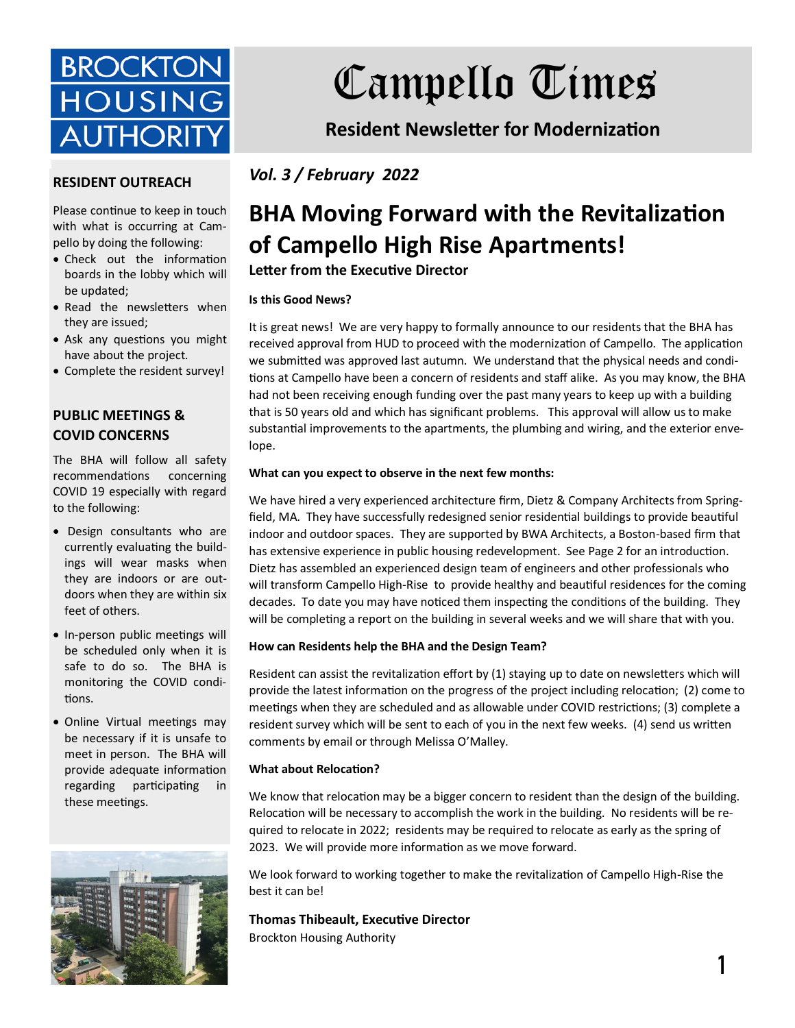

# Campello Times

**Resident Newsletter for Modernization** 

*Vol. 3 / February 2022*

# **BHA Moving Forward with the Revitalization of Campello High Rise Apartments!**

**Letter from the Executive Director** 

#### **Is this Good News?**

It is great news! We are very happy to formally announce to our residents that the BHA has received approval from HUD to proceed with the modernization of Campello. The application we submitted was approved last autumn. We understand that the physical needs and conditions at Campello have been a concern of residents and staff alike. As you may know, the BHA had not been receiving enough funding over the past many years to keep up with a building that is 50 years old and which has significant problems. This approval will allow us to make substantial improvements to the apartments, the plumbing and wiring, and the exterior envelope.

#### **What can you expect to observe in the next few months:**

We have hired a very experienced architecture firm, Dietz & Company Architects from Springfield, MA. They have successfully redesigned senior residential buildings to provide beautiful indoor and outdoor spaces. They are supported by BWA Architects, a Boston-based firm that has extensive experience in public housing redevelopment. See Page 2 for an introduction. Dietz has assembled an experienced design team of engineers and other professionals who will transform Campello High-Rise to provide healthy and beautiful residences for the coming decades. To date you may have noticed them inspecting the conditions of the building. They will be completing a report on the building in several weeks and we will share that with you.

#### **How can Residents help the BHA and the Design Team?**

Resident can assist the revitalization effort by (1) staying up to date on newsletters which will provide the latest information on the progress of the project including relocation; (2) come to meetings when they are scheduled and as allowable under COVID restrictions; (3) complete a resident survey which will be sent to each of you in the next few weeks. (4) send us written comments by email or through Melissa O'Malley.

#### **What about Relocation?**

We know that relocation may be a bigger concern to resident than the design of the building. Relocation will be necessary to accomplish the work in the building. No residents will be required to relocate in 2022; residents may be required to relocate as early as the spring of 2023. We will provide more information as we move forward.

We look forward to working together to make the revitalization of Campello High-Rise the best it can be!

**Thomas Thibeault, Executive Director** Brockton Housing Authority

#### **RESIDENT OUTREACH**

Please continue to keep in touch with what is occurring at Campello by doing the following:

- Check out the information boards in the lobby which will be updated;
- Read the newsletters when they are issued;
- Ask any questions you might have about the project.
- Complete the resident survey!

#### **PUBLIC MEETINGS & COVID CONCERNS**

The BHA will follow all safety recommendations concerning COVID 19 especially with regard to the following:

- Design consultants who are currently evaluating the buildings will wear masks when they are indoors or are outdoors when they are within six feet of others.
- In-person public meetings will be scheduled only when it is safe to do so. The BHA is monitoring the COVID conditions.
- Online Virtual meetings may be necessary if it is unsafe to meet in person. The BHA will provide adequate information regarding participating in these meetings.